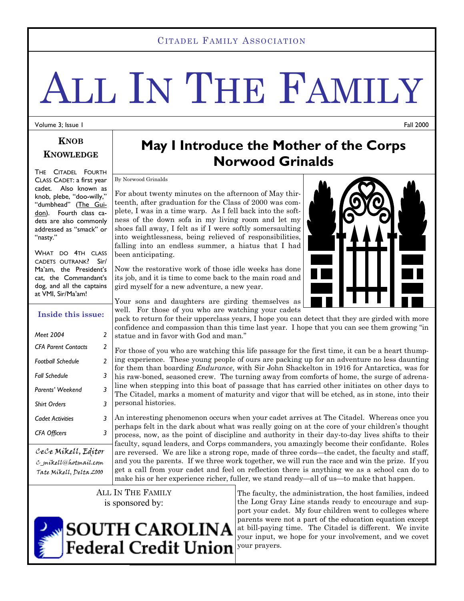#### CITADEL FAMILY ASSOCIATION

# ALL IN THE FAMILY

Volume 3; Issue 1

Fall 2000

#### **KNOB KNOWLEDGE**

THE CITADEL FOURTH CLASS CADET: a first year cadet. Also known as knob, plebe, "doo-willy," "dumbhead" (The Guidon). Fourth class cadets are also commonly addressed as "smack" or "nasty."

WHAT DO 4TH CLASS CADETS OUTRANK? Sir/ Ma'am, the President's cat, the Commandant's dog, and all the captains at VMI, Sir/Ma'am!

#### **Inside this issue:**

| Meet 2004                  | 2             |  |  |
|----------------------------|---------------|--|--|
| <b>CFA Parent Contacts</b> | 2             |  |  |
| <b>Football Schedule</b>   | $\mathfrak z$ |  |  |
| Fall Schedule              | 3             |  |  |
| Parents' Weekend           | 3             |  |  |
| <b>Shirt Orders</b>        | 3             |  |  |
| <b>Cadet Activities</b>    | 3             |  |  |
| <b>CFA Officers</b>        | 3             |  |  |
| $1.1.11$ $1.11.11$         |               |  |  |

CeCe Mikell, Editor C\_mikell@hotmail.com Tate Mikell, Delta 2000

## **May I Introduce the Mother of the Corps Norwood Grinalds**

By Norwood Grinalds

For about twenty minutes on the afternoon of May thirteenth, after graduation for the Class of 2000 was complete, I was in a time warp. As I fell back into the softness of the down sofa in my living room and let my shoes fall away, I felt as if I were softly somersaulting into weightlessness, being relieved of responsibilities, falling into an endless summer, a hiatus that I had been anticipating.

Now the restorative work of those idle weeks has done its job, and it is time to come back to the main road and gird myself for a new adventure, a new year.

Your sons and daughters are girding themselves as well. For those of you who are watching your cadets

pack to return for their upperclass years, I hope you can detect that they are girded with more confidence and compassion than this time last year. I hope that you can see them growing "in statue and in favor with God and man."

For those of you who are watching this life passage for the first time, it can be a heart thumping experience. These young people of ours are packing up for an adventure no less daunting for them than boarding *Endurance*, with Sir John Shackelton in 1916 for Antarctica, was for his raw-boned, seasoned crew. The turning away from comforts of home, the surge of adrenaline when stepping into this boat of passage that has carried other initiates on other days to The Citadel, marks a moment of maturity and vigor that will be etched, as in stone, into their personal histories.

An interesting phenomenon occurs when your cadet arrives at The Citadel. Whereas once you perhaps felt in the dark about what was really going on at the core of your children's thought process, now, as the point of discipline and authority in their day-to-day lives shifts to their faculty, squad leaders, and Corps commanders, you amazingly become their confidante. Roles are reversed. We are like a strong rope, made of three cords—the cadet, the faculty and staff, and you the parents. If we three work together, we will run the race and win the prize. If you get a call from your cadet and feel on reflection there is anything we as a school can do to make his or her experience richer, fuller, we stand ready—all of us—to make that happen.

ALL IN THE FAMILY is sponsored by:

The faculty, the administration, the host families, indeed the Long Gray Line stands ready to encourage and support your cadet. My four children went to colleges where parents were not a part of the education equation except at bill-paying time. The Citadel is different. We invite your input, we hope for your involvement, and we covet your prayers.



**SOUTH CAROLINA Federal Credit Union** 

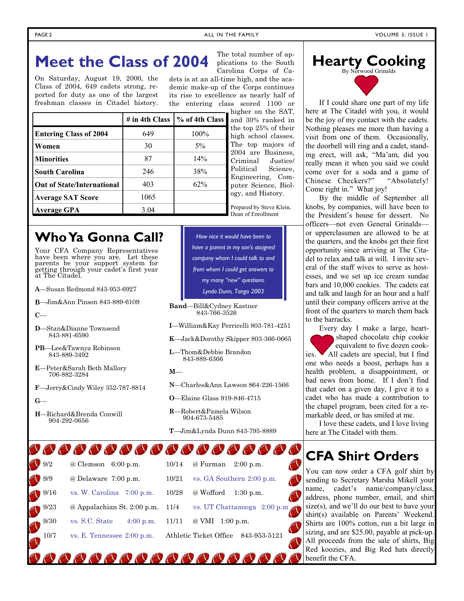## **Meet the Class of 2004**

On Saturday, August 19, 2000, the Class of 2004, 649 cadets strong, reported for duty as one of the largest freshman classes in Citadel history.

Your CFA Company Representatives have been where you are. Let these parents be your support system for getting through your cadet's first year

**Who Ya Gonna Call?** 

**A**—Susan Redmond 843-953-6927 **B**—Jim&Ann Pinson 843-889-6109

**D**—Stan&Dianne Townsend 843-881-6590

**PB**—Lee&Tawnya Robinson 843-889-3492

**E**—Peter&Sarah Beth Mallory 706-882-3284

**H**—Richard&Brenda Conwill 904-292-0656

**F**—Jerry&Cindy Wiley 352-787-8814

at The Citadel.

**C**—

**G**—

Carolina Corps of Cadets is at an all-time high, and the academic make-up of the Corps continues its rise to excellence as nearly half of the entering class scored 1100 or

The total number of applications to the South

|                                   | # in 4th Class | % of 4th Class |
|-----------------------------------|----------------|----------------|
| <b>Entering Class of 2004</b>     | 649            | 100%           |
| Women                             | 30             | $5\%$          |
| <b>Minorities</b>                 | 87             | 14%            |
| <b>South Carolina</b>             | 246            | 38%            |
| <b>Out of State/International</b> | 403            | 62%            |
| <b>Average SAT Score</b>          | 1065           |                |
| <b>Average GPA</b>                | 3.04           |                |

igher on the SAT, and 30% ranked in top 25% of their high school classes. he top majors of 2004 are Business, riminal Justice/ olitical Science, ngineering, Comuter Science, Biolzy, and History.

epared by Steve Klein, Dean of Enrollment

*How nice it would have been to have a parent in my son's assigned company whom I could talk to and from whom I could get answers to my many "new" questions. Lynda Dunn, Tango 2003* 

**Band**—Bill&Cydney Kastner 843-766-3526

**I**—William&Kay Perricelli 803-781-4251

**K**—Jack&Dorothy Skipper 803-366-0665

**L**—Thom&Debbie Brandon 843-889-6366

**M**—

- **N**—Charles&Ann Lawson 864-226-1566
- **O**—Elaine Glass 919-846-4715
- **R**—Robert&Pamela Wilson 904-673-5485

**T**—Jim&Lynda Dunn 843-795-8889

### 00000000000000000

| 9/2   | @ Clemson<br>$6:00$ p.m.                | 10/14 | @ Furman<br>$2:00$ p.m.                |
|-------|-----------------------------------------|-------|----------------------------------------|
| 9/9   | @ Delaware 7:00 p.m.                    | 10/21 | vs. GA Southern 2:00 p.m.              |
| 9/16  | vs. W. Carolina $7:00$ p.m.             | 10/28 | @ Wofford<br>$1:30$ p.m.               |
| 9/23  | $\omega$ Appalachian St. 2:00 p.m. 11/4 |       | vs. UT Chattanooga $2:00$ p.m.         |
| .9/30 | vs. S.C. State<br>$4:00 \text{ p.m.}$   | 11/11 | @ VMI<br>$1:00 \text{ p.m.}$           |
| 10/7  | vs. E. Tennessee $2:00$ p.m.            |       | Athletic Ticket Office<br>843-953-5121 |
|       |                                         |       |                                        |

, , , , , , , , , , , , , , ,



 If I could share one part of my life here at The Citadel with you, it would be the joy of my contact with the cadets. Nothing pleases me more than having a visit from one of them. Occasionally, the doorbell will ring and a cadet, standing erect, will ask, "Ma'am, did you really mean it when you said we could come over for a soda and a game of Chinese Checkers?" "Absolutely! Come right in." What joy!

 By the middle of September all knobs, by companies, will have been to the President's house for dessert. No officers—not even General Grinalds or upperclassmen are allowed to be at the quarters, and the knobs get their first opportunity since arriving at The Citadel to relax and talk at will. I invite several of the staff wives to serve as hostesses, and we set up ice cream sundae bars and 10,000 cookies. The cadets eat and talk and laugh for an hour and a half until their company officers arrive at the front of the quarters to march them back to the barracks.

 Every day I make a large, heartshaped chocolate chip cookie equivalent to five dozen cookies. All cadets are special, but I find one who needs a boost, perhaps has a health problem, a disappointment, or bad news from home. If I don't find that cadet on a given day, I give it to a cadet who has made a contribution to the chapel program, been cited for a remarkable deed, or has smiled at me.

 I love these cadets, and I love living here at The Citadel with them.

#### **CFA Shirt Orders**

You can now order a CFA golf shirt by sending to Secretary Marsha Mikell your name, cadet's name/company/class, address, phone number, email, and shirt size(s), and we'll do our best to have your shirt(s) available on Parents' Weekend. Shirts are 100% cotton, run a bit large in sizing, and are \$25.00, payable at pick-up. All proceeds from the sale of shirts, Big Red koozies, and Big Red hats directly benefit the CFA.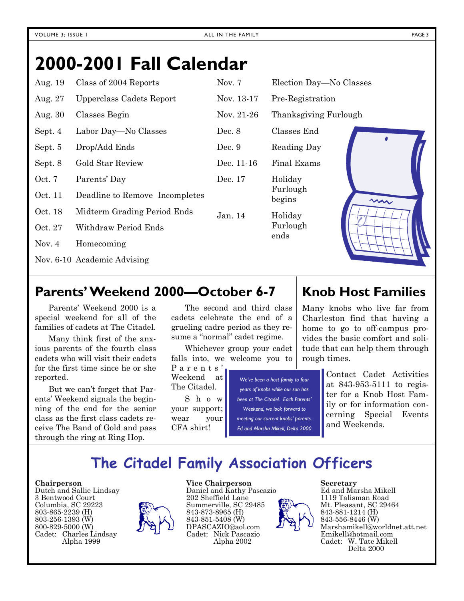## **2000-2001 Fall Calendar**

| Aug. 19  | Class of 2004 Reports          | Nov. $7$   | Election Day-No Classes |           |
|----------|--------------------------------|------------|-------------------------|-----------|
| Aug. 27  | Upperclass Cadets Report       | Nov. 13-17 | Pre-Registration        |           |
| Aug. 30  | Classes Begin                  | Nov. 21-26 | Thanksgiving Furlough   |           |
| Sept. 4  | Labor Day—No Classes           | Dec. 8     | Classes End             | $\bullet$ |
| Sept. 5  | Drop/Add Ends                  | Dec. $9$   | Reading Day             |           |
| Sept. 8  | <b>Gold Star Review</b>        | Dec. 11-16 | Final Exams             |           |
| Oct. 7   | Parents' Day                   | Dec. 17    | Holiday                 |           |
| Oct. 11  | Deadline to Remove Incompletes |            | Furlough<br>begins      | m         |
| Oct. 18  | Midterm Grading Period Ends    | Jan. 14    | Holiday                 |           |
| Oct. 27  | Withdraw Period Ends           |            | Furlough<br>ends        |           |
| Nov. $4$ | Homecoming                     |            |                         |           |
|          | Nov. 6-10 Academic Advising    |            |                         |           |

#### **Parents' Weekend 2000—October 6-7**

 Parents' Weekend 2000 is a special weekend for all of the families of cadets at The Citadel.

 Many think first of the anxious parents of the fourth class cadets who will visit their cadets for the first time since he or she reported.

 But we can't forget that Parents' Weekend signals the beginning of the end for the senior class as the first class cadets receive The Band of Gold and pass through the ring at Ring Hop.

 The second and third class cadets celebrate the end of a grueling cadre period as they resume a "normal" cadet regime.

 Whichever group your cadet falls into, we welcome you to

P a r e n t s ' Weekend at The Citadel.

 S h o w your support; wear your CFA shirt!

*We've been a host family to four years of knobs while our son has been at The Citadel. Each Parents' Weekend, we look forward to meeting our current knobs' parents. Ed and Marsha Mikell, Delta 2000* 

#### **Knob Host Families**

Many knobs who live far from Charleston find that having a home to go to off-campus provides the basic comfort and solitude that can help them through rough times.

> Contact Cadet Activities at 843-953-5111 to register for a Knob Host Family or for information concerning Special Events and Weekends.

## **The Citadel Family Association Officers**

#### **Chairperson**

Dutch and Sallie Lindsay 3 Bentwood Court Columbia, SC 29223 803-865-2239 (H) 803-256-1393 (W) 800-829-5000 (W) Cadet: Charles Lindsay Alpha 1999



**Vice Chairperson**  Daniel and Kathy Pascazio 202 Sheffield Lane Summerville, SC 29485 843-873-8965 (H) 843-851-5408 (W) DPASCAZIO@aol.com Cadet: Nick Pascazio Alpha 2002



#### **Secretary**

Ed and Marsha Mikell 1119 Talisman Road Mt. Pleasant, SC 29464 843-881-1214 (H) 843-556-8446 (W) Marshamikell@worldnet.att.net Emikell@hotmail.com Cadet: W. Tate Mikell Delta 2000